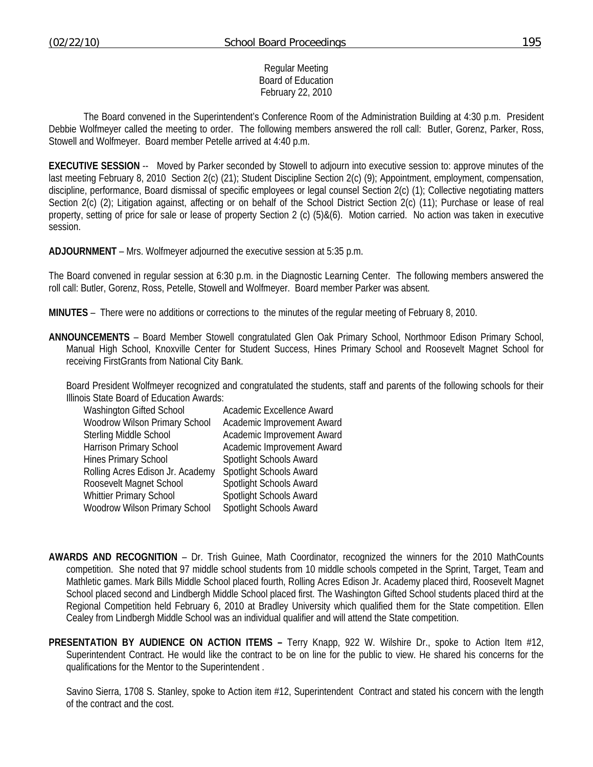### Regular Meeting Board of Education February 22, 2010

 The Board convened in the Superintendent's Conference Room of the Administration Building at 4:30 p.m. President Debbie Wolfmeyer called the meeting to order. The following members answered the roll call: Butler, Gorenz, Parker, Ross, Stowell and Wolfmeyer. Board member Petelle arrived at 4:40 p.m.

**EXECUTIVE SESSION** -- Moved by Parker seconded by Stowell to adjourn into executive session to: approve minutes of the last meeting February 8, 2010 Section 2(c) (21); Student Discipline Section 2(c) (9); Appointment, employment, compensation, discipline, performance, Board dismissal of specific employees or legal counsel Section 2(c) (1); Collective negotiating matters Section 2(c) (2); Litigation against, affecting or on behalf of the School District Section 2(c) (11); Purchase or lease of real property, setting of price for sale or lease of property Section 2 (c) (5)&(6). Motion carried. No action was taken in executive session.

**ADJOURNMENT** – Mrs. Wolfmeyer adjourned the executive session at 5:35 p.m.

The Board convened in regular session at 6:30 p.m. in the Diagnostic Learning Center. The following members answered the roll call: Butler, Gorenz, Ross, Petelle, Stowell and Wolfmeyer. Board member Parker was absent.

**MINUTES** – There were no additions or corrections to the minutes of the regular meeting of February 8, 2010.

**ANNOUNCEMENTS** – Board Member Stowell congratulated Glen Oak Primary School, Northmoor Edison Primary School, Manual High School, Knoxville Center for Student Success, Hines Primary School and Roosevelt Magnet School for receiving FirstGrants from National City Bank.

 Board President Wolfmeyer recognized and congratulated the students, staff and parents of the following schools for their Illinois State Board of Education Awards:

| Washington Gifted School         | Academic Excellence Award  |
|----------------------------------|----------------------------|
| Woodrow Wilson Primary School    | Academic Improvement Award |
| <b>Sterling Middle School</b>    | Academic Improvement Award |
| Harrison Primary School          | Academic Improvement Award |
| Hines Primary School             | Spotlight Schools Award    |
| Rolling Acres Edison Jr. Academy | Spotlight Schools Award    |
| Roosevelt Magnet School          | Spotlight Schools Award    |
| <b>Whittier Primary School</b>   | Spotlight Schools Award    |
| Woodrow Wilson Primary School    | Spotlight Schools Award    |

- **AWARDS AND RECOGNITION** Dr. Trish Guinee, Math Coordinator, recognized the winners for the 2010 MathCounts competition. She noted that 97 middle school students from 10 middle schools competed in the Sprint, Target, Team and Mathletic games. Mark Bills Middle School placed fourth, Rolling Acres Edison Jr. Academy placed third, Roosevelt Magnet School placed second and Lindbergh Middle School placed first. The Washington Gifted School students placed third at the Regional Competition held February 6, 2010 at Bradley University which qualified them for the State competition. Ellen Cealey from Lindbergh Middle School was an individual qualifier and will attend the State competition.
- **PRESENTATION BY AUDIENCE ON ACTION ITEMS** Terry Knapp, 922 W. Wilshire Dr., spoke to Action Item #12, Superintendent Contract. He would like the contract to be on line for the public to view. He shared his concerns for the qualifications for the Mentor to the Superintendent .

 Savino Sierra, 1708 S. Stanley, spoke to Action item #12, Superintendent Contract and stated his concern with the length of the contract and the cost.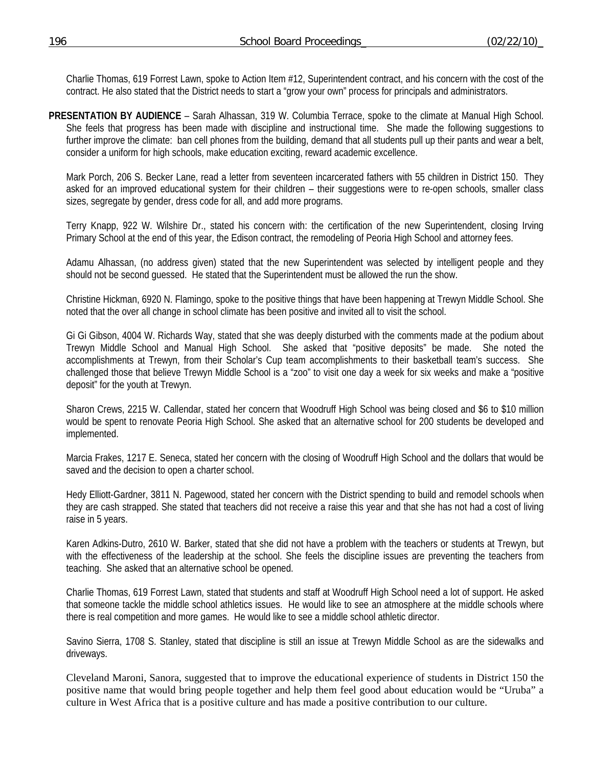Charlie Thomas, 619 Forrest Lawn, spoke to Action Item #12, Superintendent contract, and his concern with the cost of the contract. He also stated that the District needs to start a "grow your own" process for principals and administrators.

**PRESENTATION BY AUDIENCE** – Sarah Alhassan, 319 W. Columbia Terrace, spoke to the climate at Manual High School. She feels that progress has been made with discipline and instructional time. She made the following suggestions to further improve the climate: ban cell phones from the building, demand that all students pull up their pants and wear a belt, consider a uniform for high schools, make education exciting, reward academic excellence.

 Mark Porch, 206 S. Becker Lane, read a letter from seventeen incarcerated fathers with 55 children in District 150. They asked for an improved educational system for their children – their suggestions were to re-open schools, smaller class sizes, segregate by gender, dress code for all, and add more programs.

 Terry Knapp, 922 W. Wilshire Dr., stated his concern with: the certification of the new Superintendent, closing Irving Primary School at the end of this year, the Edison contract, the remodeling of Peoria High School and attorney fees.

 Adamu Alhassan, (no address given) stated that the new Superintendent was selected by intelligent people and they should not be second guessed. He stated that the Superintendent must be allowed the run the show.

 Christine Hickman, 6920 N. Flamingo, spoke to the positive things that have been happening at Trewyn Middle School. She noted that the over all change in school climate has been positive and invited all to visit the school.

 Gi Gi Gibson, 4004 W. Richards Way, stated that she was deeply disturbed with the comments made at the podium about Trewyn Middle School and Manual High School. She asked that "positive deposits" be made. She noted the accomplishments at Trewyn, from their Scholar's Cup team accomplishments to their basketball team's success. She challenged those that believe Trewyn Middle School is a "zoo" to visit one day a week for six weeks and make a "positive deposit" for the youth at Trewyn.

 Sharon Crews, 2215 W. Callendar, stated her concern that Woodruff High School was being closed and \$6 to \$10 million would be spent to renovate Peoria High School. She asked that an alternative school for 200 students be developed and implemented.

 Marcia Frakes, 1217 E. Seneca, stated her concern with the closing of Woodruff High School and the dollars that would be saved and the decision to open a charter school.

 Hedy Elliott-Gardner, 3811 N. Pagewood, stated her concern with the District spending to build and remodel schools when they are cash strapped. She stated that teachers did not receive a raise this year and that she has not had a cost of living raise in 5 years.

 Karen Adkins-Dutro, 2610 W. Barker, stated that she did not have a problem with the teachers or students at Trewyn, but with the effectiveness of the leadership at the school. She feels the discipline issues are preventing the teachers from teaching. She asked that an alternative school be opened.

 Charlie Thomas, 619 Forrest Lawn, stated that students and staff at Woodruff High School need a lot of support. He asked that someone tackle the middle school athletics issues. He would like to see an atmosphere at the middle schools where there is real competition and more games. He would like to see a middle school athletic director.

 Savino Sierra, 1708 S. Stanley, stated that discipline is still an issue at Trewyn Middle School as are the sidewalks and driveways.

 Cleveland Maroni, Sanora, suggested that to improve the educational experience of students in District 150 the positive name that would bring people together and help them feel good about education would be "Uruba" a culture in West Africa that is a positive culture and has made a positive contribution to our culture.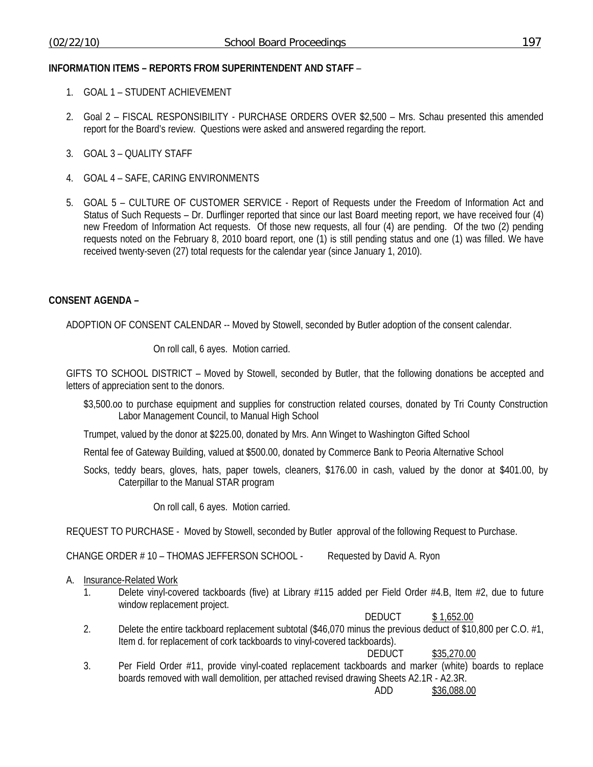## **INFORMATION ITEMS – REPORTS FROM SUPERINTENDENT AND STAFF** –

- 1. GOAL 1 STUDENT ACHIEVEMENT
- 2. Goal 2 FISCAL RESPONSIBILITY PURCHASE ORDERS OVER \$2,500 Mrs. Schau presented this amended report for the Board's review. Questions were asked and answered regarding the report.
- 3. GOAL 3 QUALITY STAFF
- 4. GOAL 4 SAFE, CARING ENVIRONMENTS
- 5. GOAL 5 CULTURE OF CUSTOMER SERVICE Report of Requests under the Freedom of Information Act and Status of Such Requests – Dr. Durflinger reported that since our last Board meeting report, we have received four (4) new Freedom of Information Act requests. Of those new requests, all four (4) are pending. Of the two (2) pending requests noted on the February 8, 2010 board report, one (1) is still pending status and one (1) was filled. We have received twenty-seven (27) total requests for the calendar year (since January 1, 2010).

## **CONSENT AGENDA –**

ADOPTION OF CONSENT CALENDAR -- Moved by Stowell, seconded by Butler adoption of the consent calendar.

On roll call, 6 ayes. Motion carried.

GIFTS TO SCHOOL DISTRICT – Moved by Stowell, seconded by Butler, that the following donations be accepted and letters of appreciation sent to the donors.

- \$3,500.oo to purchase equipment and supplies for construction related courses, donated by Tri County Construction Labor Management Council, to Manual High School
- Trumpet, valued by the donor at \$225.00, donated by Mrs. Ann Winget to Washington Gifted School

Rental fee of Gateway Building, valued at \$500.00, donated by Commerce Bank to Peoria Alternative School

Socks, teddy bears, gloves, hats, paper towels, cleaners, \$176.00 in cash, valued by the donor at \$401.00, by Caterpillar to the Manual STAR program

On roll call, 6 ayes. Motion carried.

REQUEST TO PURCHASE - Moved by Stowell, seconded by Butler approval of the following Request to Purchase.

CHANGE ORDER # 10 – THOMAS JEFFERSON SCHOOL - Requested by David A. Ryon

## A. Insurance-Related Work

1. Delete vinyl-covered tackboards (five) at Library #115 added per Field Order #4.B, Item #2, due to future window replacement project.

DEDUCT \$ 1,652.00

2. Delete the entire tackboard replacement subtotal (\$46,070 minus the previous deduct of \$10,800 per C.O. #1, Item d. for replacement of cork tackboards to vinyl-covered tackboards).

DEDUCT \$35,270.00

3. Per Field Order #11, provide vinyl-coated replacement tackboards and marker (white) boards to replace boards removed with wall demolition, per attached revised drawing Sheets A2.1R - A2.3R.

ADD \$36,088.00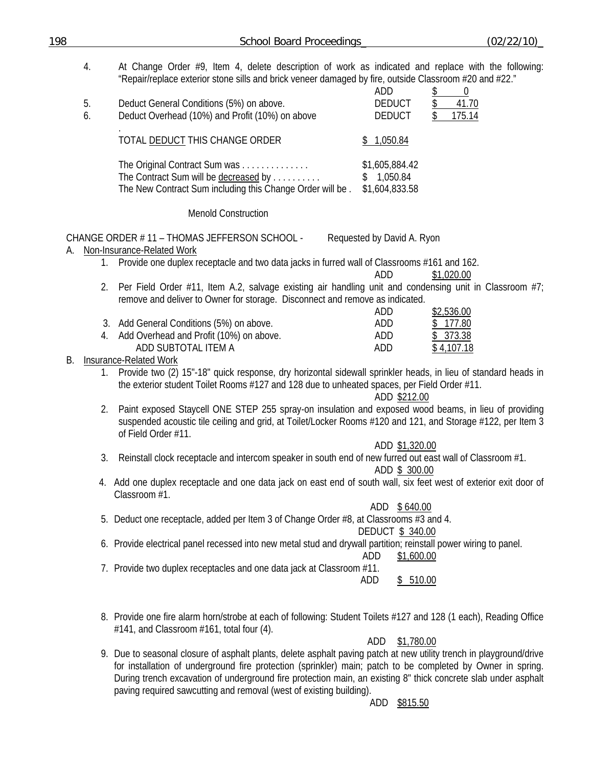| 198 | <b>School Board Proceedings</b>                                                                                                                                                                                                            | (02/22/10)                                     |
|-----|--------------------------------------------------------------------------------------------------------------------------------------------------------------------------------------------------------------------------------------------|------------------------------------------------|
| 4.  | At Change Order #9, Item 4, delete description of work as indicated and replace with the following:<br>"Repair/replace exterior stone sills and brick veneer damaged by fire, outside Classroom #20 and #22."                              | ADD<br>\$<br>$\theta$                          |
| 5.  | Deduct General Conditions (5%) on above.                                                                                                                                                                                                   | <b>DEDUCT</b><br>41.70<br>\$                   |
| 6.  | Deduct Overhead (10%) and Profit (10%) on above                                                                                                                                                                                            | <b>DEDUCT</b><br>175.14<br>\$                  |
|     | TOTAL DEDUCT THIS CHANGE ORDER                                                                                                                                                                                                             | \$1,050.84                                     |
|     | The Original Contract Sum was<br>The Contract Sum will be decreased by<br>The New Contract Sum including this Change Order will be.                                                                                                        | \$1,605,884.42<br>\$1,050.84<br>\$1,604,833.58 |
|     | <b>Menold Construction</b>                                                                                                                                                                                                                 |                                                |
|     | CHANGE ORDER #11 - THOMAS JEFFERSON SCHOOL -<br>A. Non-Insurance-Related Work                                                                                                                                                              | Requested by David A. Ryon                     |
|     | 1. Provide one duplex receptacle and two data jacks in furred wall of Classrooms #161 and 162.                                                                                                                                             | ADD<br>\$1,020.00                              |
| 2.  | Per Field Order #11, Item A.2, salvage existing air handling unit and condensing unit in Classroom #7;<br>remove and deliver to Owner for storage. Disconnect and remove as indicated.                                                     | \$2,536.00<br>ADD                              |
|     | 3. Add General Conditions (5%) on above.                                                                                                                                                                                                   | 177.80<br>ADD                                  |
|     | 4. Add Overhead and Profit (10%) on above.                                                                                                                                                                                                 | ADD<br>\$373.38                                |
| В.  | ADD SUBTOTAL ITEM A<br><b>Insurance-Related Work</b>                                                                                                                                                                                       | <b>ADD</b><br>\$4,107.18                       |
| 1.  | Provide two (2) 15"-18" quick response, dry horizontal sidewall sprinkler heads, in lieu of standard heads in<br>the exterior student Toilet Rooms #127 and 128 due to unheated spaces, per Field Order #11.                               | ADD \$212.00                                   |
| 2.  | Paint exposed Staycell ONE STEP 255 spray-on insulation and exposed wood beams, in lieu of providing<br>suspended acoustic tile ceiling and grid, at Toilet/Locker Rooms #120 and 121, and Storage #122, per Item 3<br>of Field Order #11. |                                                |
| 3.  | Reinstall clock receptacle and intercom speaker in south end of new furred out east wall of Classroom #1.                                                                                                                                  | ADD \$1,320.00<br>ADD \$ 300.00                |
|     | 4. Add one duplex receptacle and one data jack on east end of south wall, six feet west of exterior exit door of<br>Classroom #1.                                                                                                          |                                                |
|     | 5. Deduct one receptacle, added per Item 3 of Change Order #8, at Classrooms #3 and 4.                                                                                                                                                     | ADD<br>\$640.00<br><b>DEDUCT \$ 340.00</b>     |
|     | 6. Provide electrical panel recessed into new metal stud and drywall partition; reinstall power wiring to panel.                                                                                                                           | ADD<br>\$1,600.00                              |
|     | 7. Provide two duplex receptacles and one data jack at Classroom #11.                                                                                                                                                                      | ADD<br>\$510.00                                |
|     | 8. Provide one fire alarm horn/strobe at each of following: Student Toilets #127 and 128 (1 each), Reading Office<br>#141, and Classroom #161, total four (4).                                                                             |                                                |
|     |                                                                                                                                                                                                                                            | ADD<br>\$1,780.00                              |

9. Due to seasonal closure of asphalt plants, delete asphalt paving patch at new utility trench in playground/drive for installation of underground fire protection (sprinkler) main; patch to be completed by Owner in spring. During trench excavation of underground fire protection main, an existing 8" thick concrete slab under asphalt paving required sawcutting and removal (west of existing building).

ADD \$815.50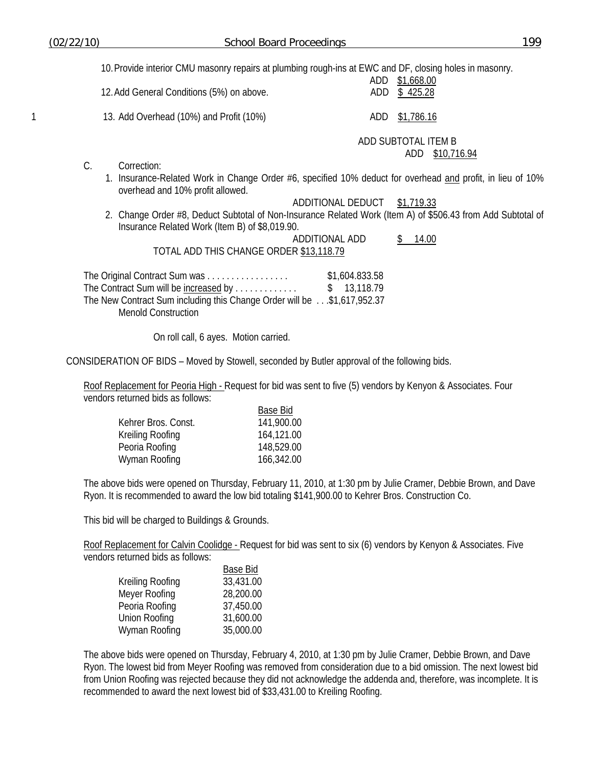10. Provide interior CMU masonry repairs at plumbing rough-ins at EWC and DF, closing holes in masonry.

| 12. Add General Conditions (5%) on above. | \$1,668.00<br>ADD<br>ADD \$425.28          |
|-------------------------------------------|--------------------------------------------|
| 13. Add Overhead (10%) and Profit (10%)   | ADD \$1,786.16                             |
|                                           | ADD SUBTOTAL ITEM B<br>\$10,716.94<br>ADD- |

- C. Correction:
	- 1. Insurance-Related Work in Change Order #6, specified 10% deduct for overhead and profit, in lieu of 10% overhead and 10% profit allowed.

# ADDITIONAL DEDUCT \$1,719.33

2. Change Order #8, Deduct Subtotal of Non-Insurance Related Work (Item A) of \$506.43 from Add Subtotal of Insurance Related Work (Item B) of \$8,019.90.

ADDITIONAL ADD \$ 14.00 TOTAL ADD THIS CHANGE ORDER \$13,118.79

The Original Contract Sum was . . . . . . . . . . . . . . . . . \$1,604.833.58 The Contract Sum will be increased by . . . . . . . . . . . . . \$ 13,118.79 The New Contract Sum including this Change Order will be . . .\$1,617,952.37 Menold Construction

On roll call, 6 ayes. Motion carried.

CONSIDERATION OF BIDS – Moved by Stowell, seconded by Butler approval of the following bids.

Roof Replacement for Peoria High - Request for bid was sent to five (5) vendors by Kenyon & Associates. Four vendors returned bids as follows:

| Base Bid   |
|------------|
| 141,900.00 |
| 164,121.00 |
| 148,529.00 |
| 166,342.00 |
|            |

The above bids were opened on Thursday, February 11, 2010, at 1:30 pm by Julie Cramer, Debbie Brown, and Dave Ryon. It is recommended to award the low bid totaling \$141,900.00 to Kehrer Bros. Construction Co.

This bid will be charged to Buildings & Grounds.

Roof Replacement for Calvin Coolidge - Request for bid was sent to six (6) vendors by Kenyon & Associates. Five vendors returned bids as follows:

|                  | <b>Base Bid</b> |
|------------------|-----------------|
| Kreiling Roofing | 33,431.00       |
| Meyer Roofing    | 28,200.00       |
| Peoria Roofing   | 37,450.00       |
| Union Roofing    | 31,600.00       |
| Wyman Roofing    | 35,000.00       |

The above bids were opened on Thursday, February 4, 2010, at 1:30 pm by Julie Cramer, Debbie Brown, and Dave Ryon. The lowest bid from Meyer Roofing was removed from consideration due to a bid omission. The next lowest bid from Union Roofing was rejected because they did not acknowledge the addenda and, therefore, was incomplete. It is recommended to award the next lowest bid of \$33,431.00 to Kreiling Roofing.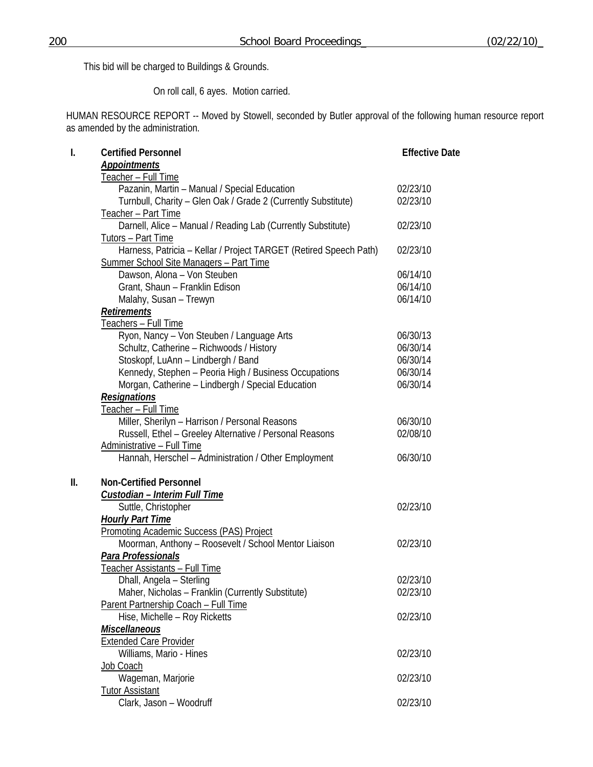This bid will be charged to Buildings & Grounds.

On roll call, 6 ayes. Motion carried.

HUMAN RESOURCE REPORT -- Moved by Stowell, seconded by Butler approval of the following human resource report as amended by the administration.

| I. | <b>Certified Personnel</b>                                        | <b>Effective Date</b> |
|----|-------------------------------------------------------------------|-----------------------|
|    | <b>Appointments</b>                                               |                       |
|    | <u>Teacher – Full Time</u>                                        |                       |
|    | Pazanin, Martin - Manual / Special Education                      | 02/23/10              |
|    | Turnbull, Charity - Glen Oak / Grade 2 (Currently Substitute)     | 02/23/10              |
|    | Teacher - Part Time                                               |                       |
|    | Darnell, Alice - Manual / Reading Lab (Currently Substitute)      | 02/23/10              |
|    | Tutors - Part Time                                                |                       |
|    | Harness, Patricia - Kellar / Project TARGET (Retired Speech Path) | 02/23/10              |
|    | Summer School Site Managers - Part Time                           |                       |
|    | Dawson, Alona - Von Steuben                                       | 06/14/10              |
|    | Grant, Shaun - Franklin Edison                                    | 06/14/10              |
|    | Malahy, Susan - Trewyn                                            | 06/14/10              |
|    | <b>Retirements</b>                                                |                       |
|    | <u> Teachers – Full Time</u>                                      |                       |
|    | Ryon, Nancy - Von Steuben / Language Arts                         | 06/30/13              |
|    | Schultz, Catherine - Richwoods / History                          | 06/30/14              |
|    | Stoskopf, LuAnn - Lindbergh / Band                                | 06/30/14              |
|    | Kennedy, Stephen - Peoria High / Business Occupations             | 06/30/14              |
|    | Morgan, Catherine - Lindbergh / Special Education                 | 06/30/14              |
|    | Resignations                                                      |                       |
|    | <u> Teacher – Full Time</u>                                       |                       |
|    | Miller, Sherilyn - Harrison / Personal Reasons                    | 06/30/10              |
|    | Russell, Ethel - Greeley Alternative / Personal Reasons           | 02/08/10              |
|    | Administrative - Full Time                                        |                       |
|    | Hannah, Herschel - Administration / Other Employment              | 06/30/10              |
| Ш. | <b>Non-Certified Personnel</b>                                    |                       |
|    | Custodian - Interim Full Time                                     |                       |
|    | Suttle, Christopher                                               | 02/23/10              |
|    | <b>Hourly Part Time</b>                                           |                       |
|    | <b>Promoting Academic Success (PAS) Project</b>                   |                       |
|    | Moorman, Anthony - Roosevelt / School Mentor Liaison              | 02/23/10              |
|    | Para Professionals                                                |                       |
|    | <u> Teacher Assistants – Full Time</u>                            |                       |
|    | Dhall, Angela - Sterling                                          | 02/23/10              |
|    | Maher, Nicholas - Franklin (Currently Substitute)                 | 02/23/10              |
|    | Parent Partnership Coach - Full Time                              |                       |
|    | Hise, Michelle - Roy Ricketts                                     | 02/23/10              |
|    | <b>Miscellaneous</b>                                              |                       |
|    | <b>Extended Care Provider</b>                                     |                       |
|    | Williams, Mario - Hines                                           | 02/23/10              |
|    | Job Coach                                                         |                       |
|    | Wageman, Marjorie                                                 | 02/23/10              |
|    | <b>Tutor Assistant</b>                                            |                       |
|    | Clark, Jason - Woodruff                                           | 02/23/10              |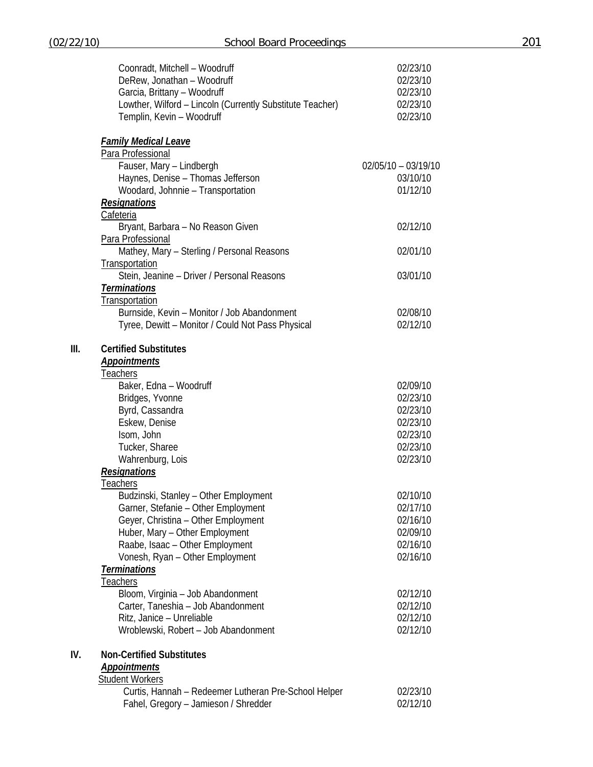|      | Coonradt, Mitchell - Woodruff<br>DeRew, Jonathan - Woodruff<br>Garcia, Brittany - Woodruff<br>Lowther, Wilford - Lincoln (Currently Substitute Teacher)<br>Templin, Kevin - Woodruff | 02/23/10<br>02/23/10<br>02/23/10<br>02/23/10<br>02/23/10 |
|------|--------------------------------------------------------------------------------------------------------------------------------------------------------------------------------------|----------------------------------------------------------|
|      | <b>Family Medical Leave</b>                                                                                                                                                          |                                                          |
|      | Para Professional                                                                                                                                                                    |                                                          |
|      | Fauser, Mary - Lindbergh<br>Haynes, Denise - Thomas Jefferson<br>Woodard, Johnnie - Transportation                                                                                   | $02/05/10 - 03/19/10$<br>03/10/10<br>01/12/10            |
|      | <b>Resignations</b>                                                                                                                                                                  |                                                          |
|      | Cafeteria                                                                                                                                                                            |                                                          |
|      | Bryant, Barbara - No Reason Given                                                                                                                                                    | 02/12/10                                                 |
|      | Para Professional<br>Mathey, Mary - Sterling / Personal Reasons<br>Transportation                                                                                                    | 02/01/10                                                 |
|      | Stein, Jeanine - Driver / Personal Reasons                                                                                                                                           | 03/01/10                                                 |
|      | <b>Terminations</b>                                                                                                                                                                  |                                                          |
|      | Transportation                                                                                                                                                                       |                                                          |
|      | Burnside, Kevin - Monitor / Job Abandonment                                                                                                                                          | 02/08/10                                                 |
|      | Tyree, Dewitt - Monitor / Could Not Pass Physical                                                                                                                                    | 02/12/10                                                 |
| III. | <b>Certified Substitutes</b>                                                                                                                                                         |                                                          |
|      | <b>Appointments</b>                                                                                                                                                                  |                                                          |
|      | <b>Teachers</b>                                                                                                                                                                      |                                                          |
|      | Baker, Edna - Woodruff                                                                                                                                                               | 02/09/10                                                 |
|      | Bridges, Yvonne                                                                                                                                                                      | 02/23/10                                                 |
|      | Byrd, Cassandra                                                                                                                                                                      | 02/23/10                                                 |
|      | Eskew, Denise                                                                                                                                                                        | 02/23/10                                                 |
|      | Isom, John                                                                                                                                                                           | 02/23/10                                                 |
|      | Tucker, Sharee                                                                                                                                                                       | 02/23/10                                                 |
|      | Wahrenburg, Lois                                                                                                                                                                     | 02/23/10                                                 |
|      | <b>Resignations</b>                                                                                                                                                                  |                                                          |
|      | <u>Teachers</u>                                                                                                                                                                      |                                                          |
|      | Budzinski, Stanley - Other Employment                                                                                                                                                | 02/10/10                                                 |
|      | Garner, Stefanie - Other Employment                                                                                                                                                  | 02/17/10                                                 |
|      | Geyer, Christina - Other Employment                                                                                                                                                  | 02/16/10                                                 |
|      | Huber, Mary - Other Employment                                                                                                                                                       | 02/09/10                                                 |
|      | Raabe, Isaac - Other Employment                                                                                                                                                      | 02/16/10                                                 |
|      | Vonesh, Ryan - Other Employment                                                                                                                                                      | 02/16/10                                                 |
|      | <b>Terminations</b>                                                                                                                                                                  |                                                          |
|      | <b>Teachers</b>                                                                                                                                                                      |                                                          |
|      | Bloom, Virginia - Job Abandonment<br>Carter, Taneshia - Job Abandonment                                                                                                              | 02/12/10<br>02/12/10                                     |
|      | Ritz, Janice - Unreliable                                                                                                                                                            | 02/12/10                                                 |
|      | Wroblewski, Robert - Job Abandonment                                                                                                                                                 | 02/12/10                                                 |
|      |                                                                                                                                                                                      |                                                          |
| IV.  | <b>Non-Certified Substitutes</b>                                                                                                                                                     |                                                          |
|      | <b>Appointments</b>                                                                                                                                                                  |                                                          |
|      | <b>Student Workers</b><br>Curtis, Hannah - Redeemer Lutheran Pre-School Helper                                                                                                       | 02/23/10                                                 |
|      | Fahel, Gregory - Jamieson / Shredder                                                                                                                                                 | 02/12/10                                                 |
|      |                                                                                                                                                                                      |                                                          |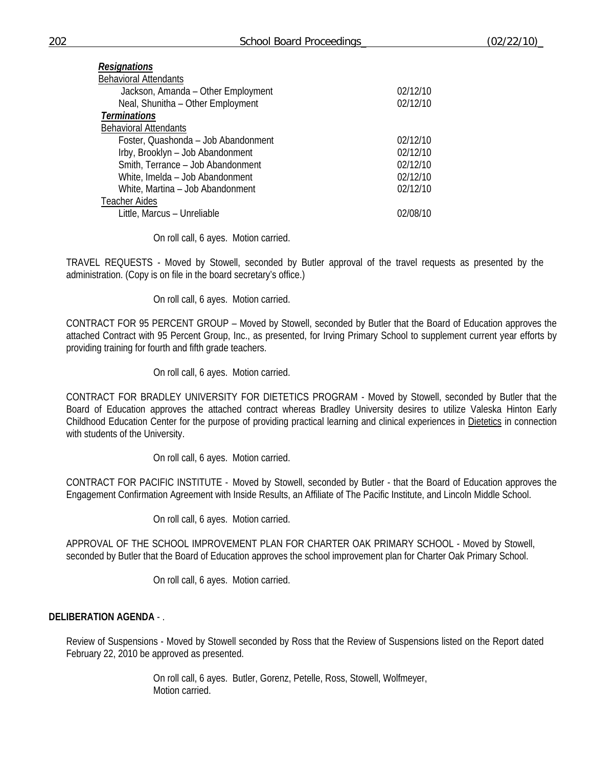| <b>Resignations</b>                 |          |
|-------------------------------------|----------|
| <b>Behavioral Attendants</b>        |          |
| Jackson, Amanda - Other Employment  | 02/12/10 |
| Neal, Shunitha - Other Employment   | 02/12/10 |
| <b>Terminations</b>                 |          |
| <b>Behavioral Attendants</b>        |          |
| Foster, Quashonda - Job Abandonment | 02/12/10 |
| Irby, Brooklyn - Job Abandonment    | 02/12/10 |
| Smith, Terrance - Job Abandonment   | 02/12/10 |
| White, Imelda - Job Abandonment     | 02/12/10 |
| White, Martina - Job Abandonment    | 02/12/10 |
| <b>Teacher Aides</b>                |          |
| Little, Marcus - Unreliable         | 02/08/10 |
|                                     |          |

On roll call, 6 ayes. Motion carried.

TRAVEL REQUESTS - Moved by Stowell, seconded by Butler approval of the travel requests as presented by the administration. (Copy is on file in the board secretary's office.)

On roll call, 6 ayes. Motion carried.

CONTRACT FOR 95 PERCENT GROUP – Moved by Stowell, seconded by Butler that the Board of Education approves the attached Contract with 95 Percent Group, Inc., as presented, for Irving Primary School to supplement current year efforts by providing training for fourth and fifth grade teachers.

On roll call, 6 ayes. Motion carried.

CONTRACT FOR BRADLEY UNIVERSITY FOR DIETETICS PROGRAM - Moved by Stowell, seconded by Butler that the Board of Education approves the attached contract whereas Bradley University desires to utilize Valeska Hinton Early Childhood Education Center for the purpose of providing practical learning and clinical experiences in Dietetics in connection with students of the University.

On roll call, 6 ayes. Motion carried.

CONTRACT FOR PACIFIC INSTITUTE - Moved by Stowell, seconded by Butler - that the Board of Education approves the Engagement Confirmation Agreement with Inside Results, an Affiliate of The Pacific Institute, and Lincoln Middle School.

On roll call, 6 ayes. Motion carried.

APPROVAL OF THE SCHOOL IMPROVEMENT PLAN FOR CHARTER OAK PRIMARY SCHOOL - Moved by Stowell, seconded by Butler that the Board of Education approves the school improvement plan for Charter Oak Primary School.

On roll call, 6 ayes. Motion carried.

## **DELIBERATION AGENDA** - .

Review of Suspensions - Moved by Stowell seconded by Ross that the Review of Suspensions listed on the Report dated February 22, 2010 be approved as presented.

> On roll call, 6 ayes. Butler, Gorenz, Petelle, Ross, Stowell, Wolfmeyer, Motion carried.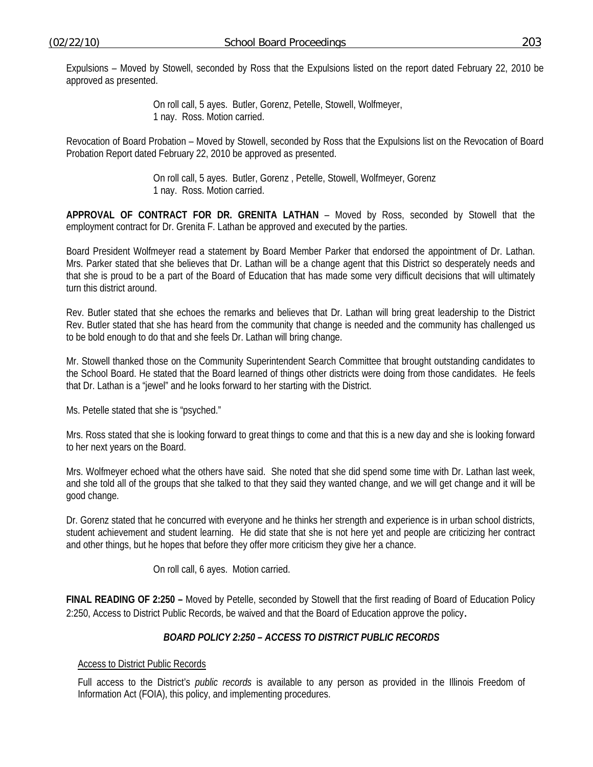Expulsions – Moved by Stowell, seconded by Ross that the Expulsions listed on the report dated February 22, 2010 be approved as presented.

> On roll call, 5 ayes. Butler, Gorenz, Petelle, Stowell, Wolfmeyer, 1 nay. Ross. Motion carried.

Revocation of Board Probation – Moved by Stowell, seconded by Ross that the Expulsions list on the Revocation of Board Probation Report dated February 22, 2010 be approved as presented.

> On roll call, 5 ayes. Butler, Gorenz , Petelle, Stowell, Wolfmeyer, Gorenz 1 nay. Ross. Motion carried.

**APPROVAL OF CONTRACT FOR DR. GRENITA LATHAN** – Moved by Ross, seconded by Stowell that the employment contract for Dr. Grenita F. Lathan be approved and executed by the parties.

Board President Wolfmeyer read a statement by Board Member Parker that endorsed the appointment of Dr. Lathan. Mrs. Parker stated that she believes that Dr. Lathan will be a change agent that this District so desperately needs and that she is proud to be a part of the Board of Education that has made some very difficult decisions that will ultimately turn this district around.

Rev. Butler stated that she echoes the remarks and believes that Dr. Lathan will bring great leadership to the District Rev. Butler stated that she has heard from the community that change is needed and the community has challenged us to be bold enough to do that and she feels Dr. Lathan will bring change.

Mr. Stowell thanked those on the Community Superintendent Search Committee that brought outstanding candidates to the School Board. He stated that the Board learned of things other districts were doing from those candidates. He feels that Dr. Lathan is a "jewel" and he looks forward to her starting with the District.

Ms. Petelle stated that she is "psyched."

Mrs. Ross stated that she is looking forward to great things to come and that this is a new day and she is looking forward to her next years on the Board.

Mrs. Wolfmeyer echoed what the others have said. She noted that she did spend some time with Dr. Lathan last week, and she told all of the groups that she talked to that they said they wanted change, and we will get change and it will be good change.

Dr. Gorenz stated that he concurred with everyone and he thinks her strength and experience is in urban school districts, student achievement and student learning. He did state that she is not here yet and people are criticizing her contract and other things, but he hopes that before they offer more criticism they give her a chance.

On roll call, 6 ayes. Motion carried.

**FINAL READING OF 2:250 –** Moved by Petelle, seconded by Stowell that the first reading of Board of Education Policy 2:250, Access to District Public Records, be waived and that the Board of Education approve the policy.

## *BOARD POLICY 2:250 – ACCESS TO DISTRICT PUBLIC RECORDS*

### Access to District Public Records

Full access to the District's *public records* is available to any person as provided in the Illinois Freedom of Information Act (FOIA), this policy, and implementing procedures.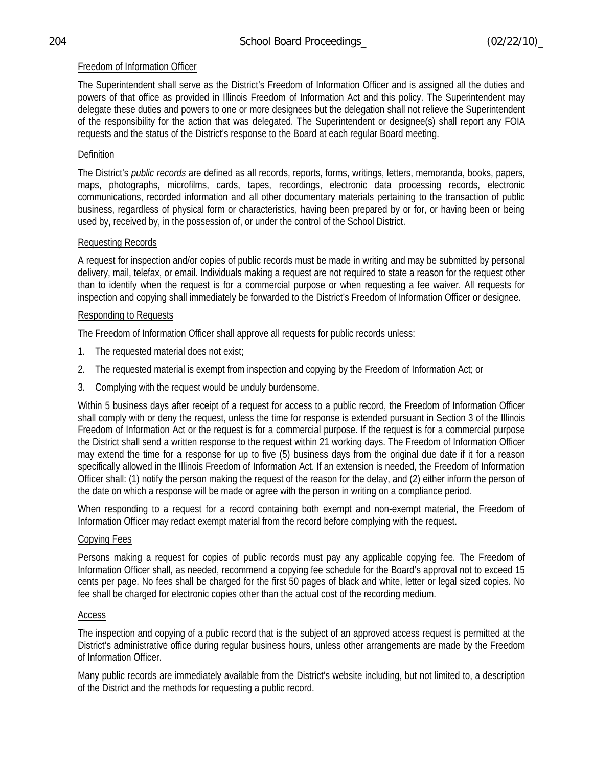# Freedom of Information Officer

The Superintendent shall serve as the District's Freedom of Information Officer and is assigned all the duties and powers of that office as provided in Illinois Freedom of Information Act and this policy. The Superintendent may delegate these duties and powers to one or more designees but the delegation shall not relieve the Superintendent of the responsibility for the action that was delegated. The Superintendent or designee(s) shall report any FOIA requests and the status of the District's response to the Board at each regular Board meeting.

# Definition

The District's *public records* are defined as all records, reports, forms, writings, letters, memoranda, books, papers, maps, photographs, microfilms, cards, tapes, recordings, electronic data processing records, electronic communications, recorded information and all other documentary materials pertaining to the transaction of public business, regardless of physical form or characteristics, having been prepared by or for, or having been or being used by, received by, in the possession of, or under the control of the School District.

# Requesting Records

A request for inspection and/or copies of public records must be made in writing and may be submitted by personal delivery, mail, telefax, or email. Individuals making a request are not required to state a reason for the request other than to identify when the request is for a commercial purpose or when requesting a fee waiver. All requests for inspection and copying shall immediately be forwarded to the District's Freedom of Information Officer or designee.

# Responding to Requests

The Freedom of Information Officer shall approve all requests for public records unless:

- 1. The requested material does not exist;
- 2. The requested material is exempt from inspection and copying by the Freedom of Information Act; or
- 3. Complying with the request would be unduly burdensome.

Within 5 business days after receipt of a request for access to a public record, the Freedom of Information Officer shall comply with or deny the request, unless the time for response is extended pursuant in Section 3 of the Illinois Freedom of Information Act or the request is for a commercial purpose. If the request is for a commercial purpose the District shall send a written response to the request within 21 working days. The Freedom of Information Officer may extend the time for a response for up to five (5) business days from the original due date if it for a reason specifically allowed in the Illinois Freedom of Information Act. If an extension is needed, the Freedom of Information Officer shall: (1) notify the person making the request of the reason for the delay, and (2) either inform the person of the date on which a response will be made or agree with the person in writing on a compliance period.

When responding to a request for a record containing both exempt and non-exempt material, the Freedom of Information Officer may redact exempt material from the record before complying with the request.

## Copying Fees

Persons making a request for copies of public records must pay any applicable copying fee. The Freedom of Information Officer shall, as needed, recommend a copying fee schedule for the Board's approval not to exceed 15 cents per page. No fees shall be charged for the first 50 pages of black and white, letter or legal sized copies. No fee shall be charged for electronic copies other than the actual cost of the recording medium.

## Access

The inspection and copying of a public record that is the subject of an approved access request is permitted at the District's administrative office during regular business hours, unless other arrangements are made by the Freedom of Information Officer.

Many public records are immediately available from the District's website including, but not limited to, a description of the District and the methods for requesting a public record.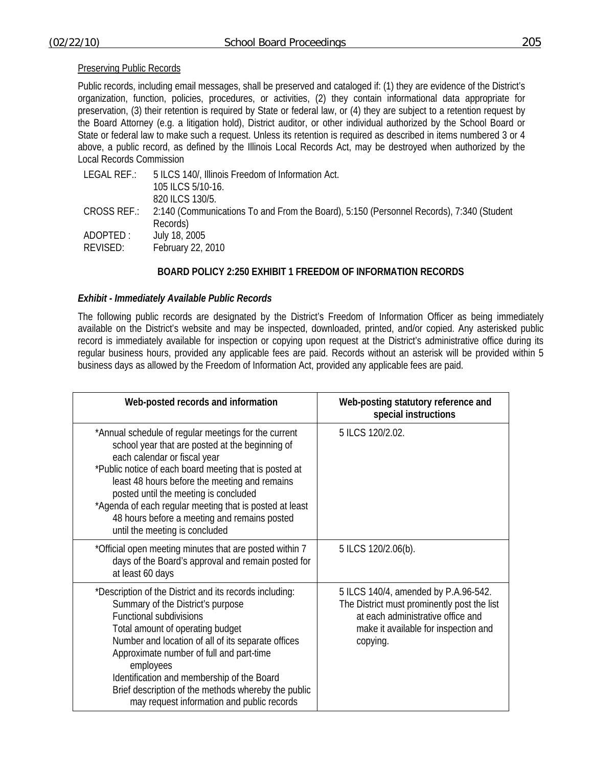#### Preserving Public Records

Public records, including email messages, shall be preserved and cataloged if: (1) they are evidence of the District's organization, function, policies, procedures, or activities, (2) they contain informational data appropriate for preservation, (3) their retention is required by State or federal law, or (4) they are subject to a retention request by the Board Attorney (e.g. a litigation hold), District auditor, or other individual authorized by the School Board or State or federal law to make such a request. Unless its retention is required as described in items numbered 3 or 4 above, a public record, as defined by the Illinois Local Records Act, may be destroyed when authorized by the Local Records Commission

| LEGAL REF.:          | 5 ILCS 140/, Illinois Freedom of Information Act.<br>105 ILCS 5/10-16.<br>820 ILCS 130/5.                       |
|----------------------|-----------------------------------------------------------------------------------------------------------------|
|                      | CROSS REF.: 2:140 (Communications To and From the Board), 5:150 (Personnel Records), 7:340 (Student<br>Records) |
| ADOPTED:<br>REVISED: | July 18, 2005<br>February 22, 2010                                                                              |

## **BOARD POLICY 2:250 EXHIBIT 1 FREEDOM OF INFORMATION RECORDS**

## *Exhibit - Immediately Available Public Records*

The following public records are designated by the District's Freedom of Information Officer as being immediately available on the District's website and may be inspected, downloaded, printed, and/or copied. Any asterisked public record is immediately available for inspection or copying upon request at the District's administrative office during its regular business hours, provided any applicable fees are paid. Records without an asterisk will be provided within 5 business days as allowed by the Freedom of Information Act, provided any applicable fees are paid.

| Web-posted records and information                                                                                                                                                                                                                                                                                                                                                                                                       | Web-posting statutory reference and<br>special instructions                                                                                                                  |
|------------------------------------------------------------------------------------------------------------------------------------------------------------------------------------------------------------------------------------------------------------------------------------------------------------------------------------------------------------------------------------------------------------------------------------------|------------------------------------------------------------------------------------------------------------------------------------------------------------------------------|
| *Annual schedule of regular meetings for the current<br>school year that are posted at the beginning of<br>each calendar or fiscal year<br>*Public notice of each board meeting that is posted at<br>least 48 hours before the meeting and remains<br>posted until the meeting is concluded<br>*Agenda of each regular meeting that is posted at least<br>48 hours before a meeting and remains posted<br>until the meeting is concluded | 5 ILCS 120/2.02.                                                                                                                                                             |
| *Official open meeting minutes that are posted within 7<br>days of the Board's approval and remain posted for<br>at least 60 days                                                                                                                                                                                                                                                                                                        | 5 ILCS 120/2.06(b).                                                                                                                                                          |
| *Description of the District and its records including:<br>Summary of the District's purpose<br><b>Functional subdivisions</b><br>Total amount of operating budget<br>Number and location of all of its separate offices<br>Approximate number of full and part-time<br>employees<br>Identification and membership of the Board<br>Brief description of the methods whereby the public<br>may request information and public records     | 5 ILCS 140/4, amended by P.A.96-542.<br>The District must prominently post the list<br>at each administrative office and<br>make it available for inspection and<br>copying. |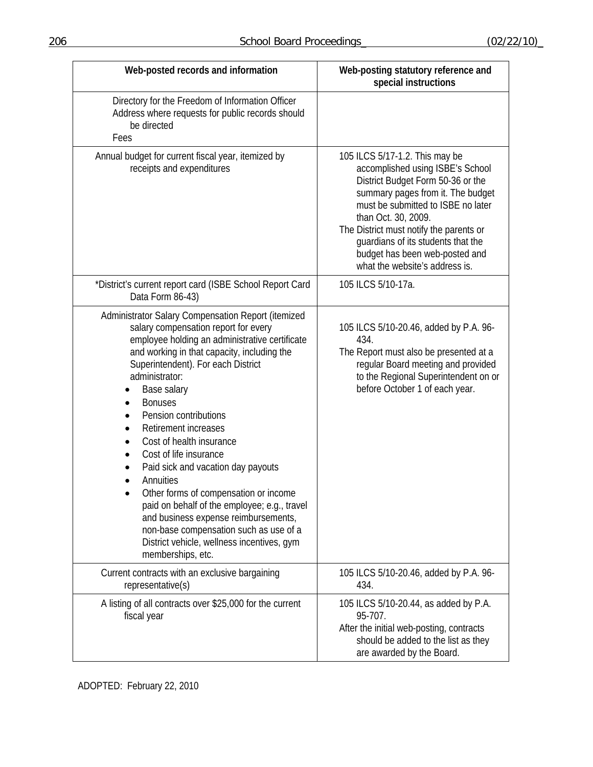| Web-posted records and information                                                                                                                                                                                                                                                                                                                                                                                                                                                                                                                                                                                                                                                                               | Web-posting statutory reference and<br>special instructions                                                                                                                                                                                                                                                                                                    |
|------------------------------------------------------------------------------------------------------------------------------------------------------------------------------------------------------------------------------------------------------------------------------------------------------------------------------------------------------------------------------------------------------------------------------------------------------------------------------------------------------------------------------------------------------------------------------------------------------------------------------------------------------------------------------------------------------------------|----------------------------------------------------------------------------------------------------------------------------------------------------------------------------------------------------------------------------------------------------------------------------------------------------------------------------------------------------------------|
| Directory for the Freedom of Information Officer<br>Address where requests for public records should<br>be directed<br>Fees                                                                                                                                                                                                                                                                                                                                                                                                                                                                                                                                                                                      |                                                                                                                                                                                                                                                                                                                                                                |
| Annual budget for current fiscal year, itemized by<br>receipts and expenditures                                                                                                                                                                                                                                                                                                                                                                                                                                                                                                                                                                                                                                  | 105 ILCS 5/17-1.2. This may be<br>accomplished using ISBE's School<br>District Budget Form 50-36 or the<br>summary pages from it. The budget<br>must be submitted to ISBE no later<br>than Oct. 30, 2009.<br>The District must notify the parents or<br>guardians of its students that the<br>budget has been web-posted and<br>what the website's address is. |
| *District's current report card (ISBE School Report Card<br>Data Form 86-43)                                                                                                                                                                                                                                                                                                                                                                                                                                                                                                                                                                                                                                     | 105 ILCS 5/10-17a.                                                                                                                                                                                                                                                                                                                                             |
| Administrator Salary Compensation Report (itemized<br>salary compensation report for every<br>employee holding an administrative certificate<br>and working in that capacity, including the<br>Superintendent). For each District<br>administrator:<br>Base salary<br><b>Bonuses</b><br>Pension contributions<br><b>Retirement increases</b><br>Cost of health insurance<br>$\bullet$<br>Cost of life insurance<br>Paid sick and vacation day payouts<br>Annuities<br>Other forms of compensation or income<br>paid on behalf of the employee; e.g., travel<br>and business expense reimbursements,<br>non-base compensation such as use of a<br>District vehicle, wellness incentives, gym<br>memberships, etc. | 105 ILCS 5/10-20.46, added by P.A. 96-<br>434.<br>The Report must also be presented at a<br>regular Board meeting and provided<br>to the Regional Superintendent on or<br>before October 1 of each year.                                                                                                                                                       |
| Current contracts with an exclusive bargaining<br>representative(s)                                                                                                                                                                                                                                                                                                                                                                                                                                                                                                                                                                                                                                              | 105 ILCS 5/10-20.46, added by P.A. 96-<br>434.                                                                                                                                                                                                                                                                                                                 |
| A listing of all contracts over \$25,000 for the current<br>fiscal year                                                                                                                                                                                                                                                                                                                                                                                                                                                                                                                                                                                                                                          | 105 ILCS 5/10-20.44, as added by P.A.<br>95-707.<br>After the initial web-posting, contracts<br>should be added to the list as they<br>are awarded by the Board.                                                                                                                                                                                               |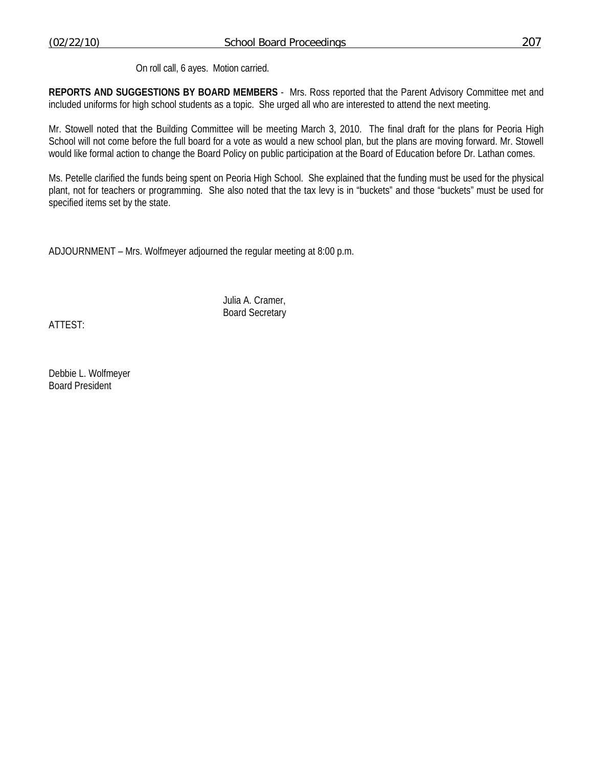On roll call, 6 ayes. Motion carried.

**REPORTS AND SUGGESTIONS BY BOARD MEMBERS** - Mrs. Ross reported that the Parent Advisory Committee met and included uniforms for high school students as a topic. She urged all who are interested to attend the next meeting.

Mr. Stowell noted that the Building Committee will be meeting March 3, 2010. The final draft for the plans for Peoria High School will not come before the full board for a vote as would a new school plan, but the plans are moving forward. Mr. Stowell would like formal action to change the Board Policy on public participation at the Board of Education before Dr. Lathan comes.

Ms. Petelle clarified the funds being spent on Peoria High School. She explained that the funding must be used for the physical plant, not for teachers or programming. She also noted that the tax levy is in "buckets" and those "buckets" must be used for specified items set by the state.

ADJOURNMENT – Mrs. Wolfmeyer adjourned the regular meeting at 8:00 p.m.

 Julia A. Cramer, Board Secretary

ATTEST:

Debbie L. Wolfmeyer Board President